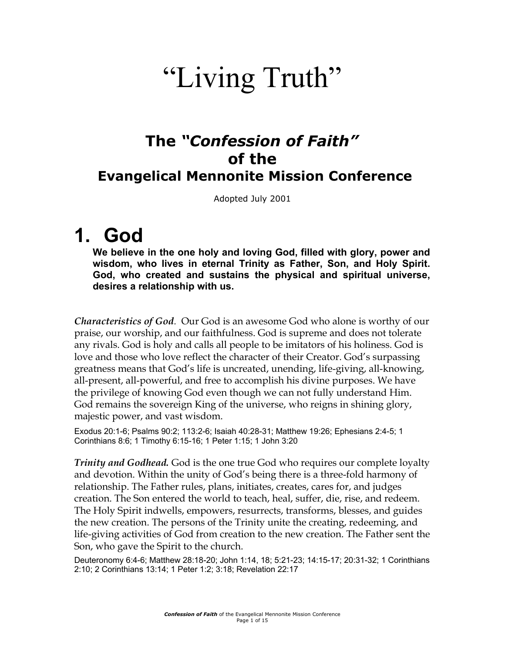# "Living Truth"

#### **The** *"Confession of Faith"* **of the Evangelical Mennonite Mission Conference**

Adopted July 2001

### **1. God**

**We believe in the one holy and loving God, filled with glory, power and wisdom, who lives in eternal Trinity as Father, Son, and Holy Spirit. God, who created and sustains the physical and spiritual universe, desires a relationship with us.**

*Characteristics of God.* Our God is an awesome God who alone is worthy of our praise, our worship, and our faithfulness. God is supreme and does not tolerate any rivals. God is holy and calls all people to be imitators of his holiness. God is love and those who love reflect the character of their Creator. God's surpassing greatness means that God's life is uncreated, unending, life-giving, all-knowing, all-present, all-powerful, and free to accomplish his divine purposes. We have the privilege of knowing God even though we can not fully understand Him. God remains the sovereign King of the universe, who reigns in shining glory, majestic power, and vast wisdom.

Exodus 20:1-6; Psalms 90:2; 113:2-6; Isaiah 40:28-31; Matthew 19:26; Ephesians 2:4-5; 1 Corinthians 8:6; 1 Timothy 6:15-16; 1 Peter 1:15; 1 John 3:20

*Trinity and Godhead.* God is the one true God who requires our complete loyalty and devotion. Within the unity of God's being there is a three-fold harmony of relationship. The Father rules, plans, initiates, creates, cares for, and judges creation. The Son entered the world to teach, heal, suffer, die, rise, and redeem. The Holy Spirit indwells, empowers, resurrects, transforms, blesses, and guides the new creation. The persons of the Trinity unite the creating, redeeming, and life-giving activities of God from creation to the new creation. The Father sent the Son, who gave the Spirit to the church.

Deuteronomy 6:4-6; Matthew 28:18-20; John 1:14, 18; 5:21-23; 14:15-17; 20:31-32; 1 Corinthians 2:10; 2 Corinthians 13:14; 1 Peter 1:2; 3:18; Revelation 22:17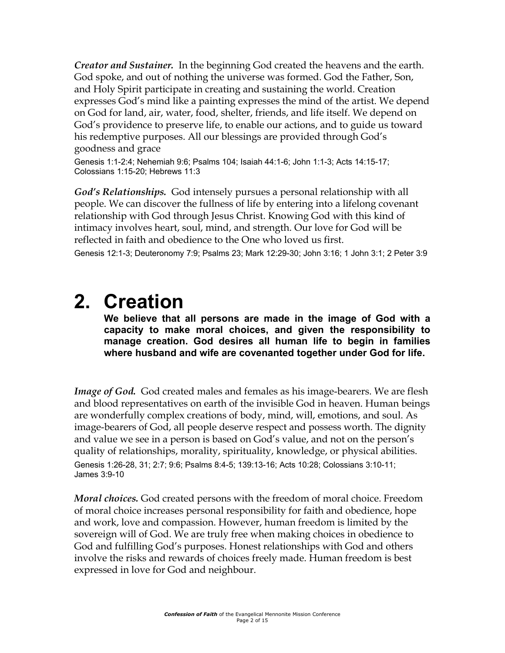*Creator and Sustainer.* In the beginning God created the heavens and the earth. God spoke, and out of nothing the universe was formed. God the Father, Son, and Holy Spirit participate in creating and sustaining the world. Creation expresses God's mind like a painting expresses the mind of the artist. We depend on God for land, air, water, food, shelter, friends, and life itself. We depend on God's providence to preserve life, to enable our actions, and to guide us toward his redemptive purposes. All our blessings are provided through God's goodness and grace

Genesis 1:1-2:4; Nehemiah 9:6; Psalms 104; Isaiah 44:1-6; John 1:1-3; Acts 14:15-17; Colossians 1:15-20; Hebrews 11:3

*God's Relationships.* God intensely pursues a personal relationship with all people. We can discover the fullness of life by entering into a lifelong covenant relationship with God through Jesus Christ. Knowing God with this kind of intimacy involves heart, soul, mind, and strength. Our love for God will be reflected in faith and obedience to the One who loved us first.

Genesis 12:1-3; Deuteronomy 7:9; Psalms 23; Mark 12:29-30; John 3:16; 1 John 3:1; 2 Peter 3:9

# **2. Creation**

**We believe that all persons are made in the image of God with a capacity to make moral choices, and given the responsibility to manage creation. God desires all human life to begin in families where husband and wife are covenanted together under God for life.** 

*Image of God.* God created males and females as his image-bearers. We are flesh and blood representatives on earth of the invisible God in heaven. Human beings are wonderfully complex creations of body, mind, will, emotions, and soul. As image-bearers of God, all people deserve respect and possess worth. The dignity and value we see in a person is based on God's value, and not on the person's quality of relationships, morality, spirituality, knowledge, or physical abilities. Genesis 1:26-28, 31; 2:7; 9:6; Psalms 8:4-5; 139:13-16; Acts 10:28; Colossians 3:10-11; James 3:9-10

*Moral choices.* God created persons with the freedom of moral choice. Freedom of moral choice increases personal responsibility for faith and obedience, hope and work, love and compassion. However, human freedom is limited by the sovereign will of God. We are truly free when making choices in obedience to God and fulfilling God's purposes. Honest relationships with God and others involve the risks and rewards of choices freely made. Human freedom is best expressed in love for God and neighbour.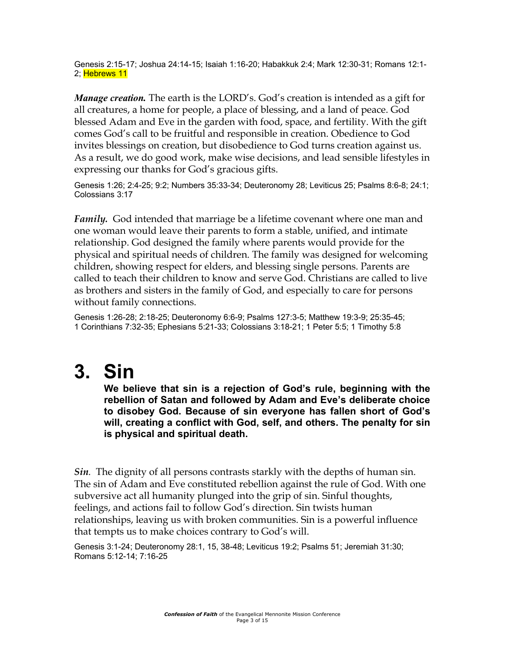Genesis 2:15-17; Joshua 24:14-15; Isaiah 1:16-20; Habakkuk 2:4; Mark 12:30-31; Romans 12:1- 2; Hebrews 11

*Manage creation.* The earth is the LORD's. God's creation is intended as a gift for all creatures, a home for people, a place of blessing, and a land of peace. God blessed Adam and Eve in the garden with food, space, and fertility. With the gift comes God's call to be fruitful and responsible in creation. Obedience to God invites blessings on creation, but disobedience to God turns creation against us. As a result, we do good work, make wise decisions, and lead sensible lifestyles in expressing our thanks for God's gracious gifts.

Genesis 1:26; 2:4-25; 9:2; Numbers 35:33-34; Deuteronomy 28; Leviticus 25; Psalms 8:6-8; 24:1; Colossians 3:17

*Family.* God intended that marriage be a lifetime covenant where one man and one woman would leave their parents to form a stable, unified, and intimate relationship. God designed the family where parents would provide for the physical and spiritual needs of children. The family was designed for welcoming children, showing respect for elders, and blessing single persons. Parents are called to teach their children to know and serve God. Christians are called to live as brothers and sisters in the family of God, and especially to care for persons without family connections.

Genesis 1:26-28; 2:18-25; Deuteronomy 6:6-9; Psalms 127:3-5; Matthew 19:3-9; 25:35-45; 1 Corinthians 7:32-35; Ephesians 5:21-33; Colossians 3:18-21; 1 Peter 5:5; 1 Timothy 5:8

## **3. Sin**

**We believe that sin is a rejection of God's rule, beginning with the rebellion of Satan and followed by Adam and Eve's deliberate choice to disobey God. Because of sin everyone has fallen short of God's will, creating a conflict with God, self, and others. The penalty for sin is physical and spiritual death.**

*Sin.* The dignity of all persons contrasts starkly with the depths of human sin. The sin of Adam and Eve constituted rebellion against the rule of God. With one subversive act all humanity plunged into the grip of sin. Sinful thoughts, feelings, and actions fail to follow God's direction. Sin twists human relationships, leaving us with broken communities. Sin is a powerful influence that tempts us to make choices contrary to God's will.

Genesis 3:1-24; Deuteronomy 28:1, 15, 38-48; Leviticus 19:2; Psalms 51; Jeremiah 31:30; Romans 5:12-14; 7:16-25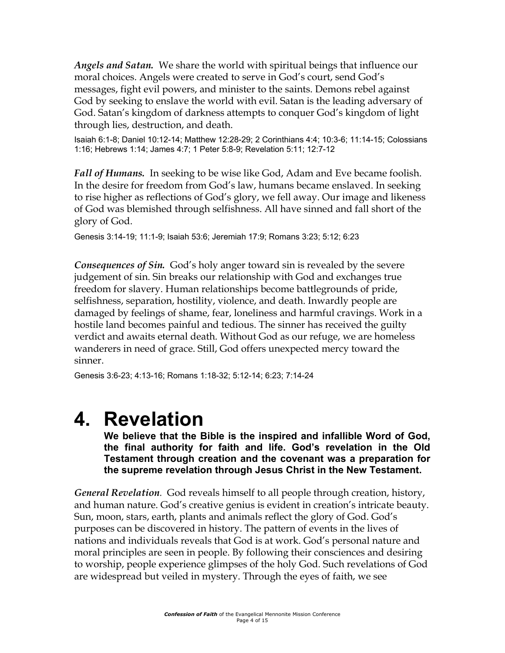*Angels and Satan.* We share the world with spiritual beings that influence our moral choices. Angels were created to serve in God's court, send God's messages, fight evil powers, and minister to the saints. Demons rebel against God by seeking to enslave the world with evil. Satan is the leading adversary of God. Satan's kingdom of darkness attempts to conquer God's kingdom of light through lies, destruction, and death.

Isaiah 6:1-8; Daniel 10:12-14; Matthew 12:28-29; 2 Corinthians 4:4; 10:3-6; 11:14-15; Colossians 1:16; Hebrews 1:14; James 4:7; 1 Peter 5:8-9; Revelation 5:11; 12:7-12

*Fall of Humans.* In seeking to be wise like God, Adam and Eve became foolish. In the desire for freedom from God's law, humans became enslaved. In seeking to rise higher as reflections of God's glory, we fell away. Our image and likeness of God was blemished through selfishness. All have sinned and fall short of the glory of God.

Genesis 3:14-19; 11:1-9; Isaiah 53:6; Jeremiah 17:9; Romans 3:23; 5:12; 6:23

*Consequences of Sin.* God's holy anger toward sin is revealed by the severe judgement of sin. Sin breaks our relationship with God and exchanges true freedom for slavery. Human relationships become battlegrounds of pride, selfishness, separation, hostility, violence, and death. Inwardly people are damaged by feelings of shame, fear, loneliness and harmful cravings. Work in a hostile land becomes painful and tedious. The sinner has received the guilty verdict and awaits eternal death. Without God as our refuge, we are homeless wanderers in need of grace. Still, God offers unexpected mercy toward the sinner.

Genesis 3:6-23; 4:13-16; Romans 1:18-32; 5:12-14; 6:23; 7:14-24

### **4. Revelation**

**We believe that the Bible is the inspired and infallible Word of God, the final authority for faith and life. God's revelation in the Old Testament through creation and the covenant was a preparation for the supreme revelation through Jesus Christ in the New Testament.**

*General Revelation.* God reveals himself to all people through creation, history, and human nature. God's creative genius is evident in creation's intricate beauty. Sun, moon, stars, earth, plants and animals reflect the glory of God. God's purposes can be discovered in history. The pattern of events in the lives of nations and individuals reveals that God is at work. God's personal nature and moral principles are seen in people. By following their consciences and desiring to worship, people experience glimpses of the holy God. Such revelations of God are widespread but veiled in mystery. Through the eyes of faith, we see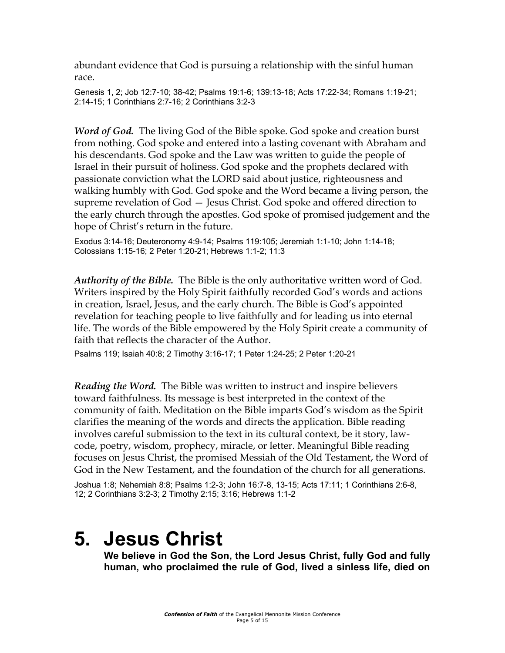abundant evidence that God is pursuing a relationship with the sinful human race.

Genesis 1, 2; Job 12:7-10; 38-42; Psalms 19:1-6; 139:13-18; Acts 17:22-34; Romans 1:19-21; 2:14-15; 1 Corinthians 2:7-16; 2 Corinthians 3:2-3

*Word of God.* The living God of the Bible spoke. God spoke and creation burst from nothing. God spoke and entered into a lasting covenant with Abraham and his descendants. God spoke and the Law was written to guide the people of Israel in their pursuit of holiness. God spoke and the prophets declared with passionate conviction what the LORD said about justice, righteousness and walking humbly with God. God spoke and the Word became a living person, the supreme revelation of God — Jesus Christ. God spoke and offered direction to the early church through the apostles. God spoke of promised judgement and the hope of Christ's return in the future.

Exodus 3:14-16; Deuteronomy 4:9-14; Psalms 119:105; Jeremiah 1:1-10; John 1:14-18; Colossians 1:15-16; 2 Peter 1:20-21; Hebrews 1:1-2; 11:3

*Authority of the Bible.* The Bible is the only authoritative written word of God. Writers inspired by the Holy Spirit faithfully recorded God's words and actions in creation, Israel, Jesus, and the early church. The Bible is God's appointed revelation for teaching people to live faithfully and for leading us into eternal life. The words of the Bible empowered by the Holy Spirit create a community of faith that reflects the character of the Author.

Psalms 119; Isaiah 40:8; 2 Timothy 3:16-17; 1 Peter 1:24-25; 2 Peter 1:20-21

*Reading the Word.* The Bible was written to instruct and inspire believers toward faithfulness. Its message is best interpreted in the context of the community of faith. Meditation on the Bible imparts God's wisdom as the Spirit clarifies the meaning of the words and directs the application. Bible reading involves careful submission to the text in its cultural context, be it story, lawcode, poetry, wisdom, prophecy, miracle, or letter. Meaningful Bible reading focuses on Jesus Christ, the promised Messiah of the Old Testament, the Word of God in the New Testament, and the foundation of the church for all generations.

Joshua 1:8; Nehemiah 8:8; Psalms 1:2-3; John 16:7-8, 13-15; Acts 17:11; 1 Corinthians 2:6-8, 12; 2 Corinthians 3:2-3; 2 Timothy 2:15; 3:16; Hebrews 1:1-2

#### **5. Jesus Christ**

**We believe in God the Son, the Lord Jesus Christ, fully God and fully human, who proclaimed the rule of God, lived a sinless life, died on**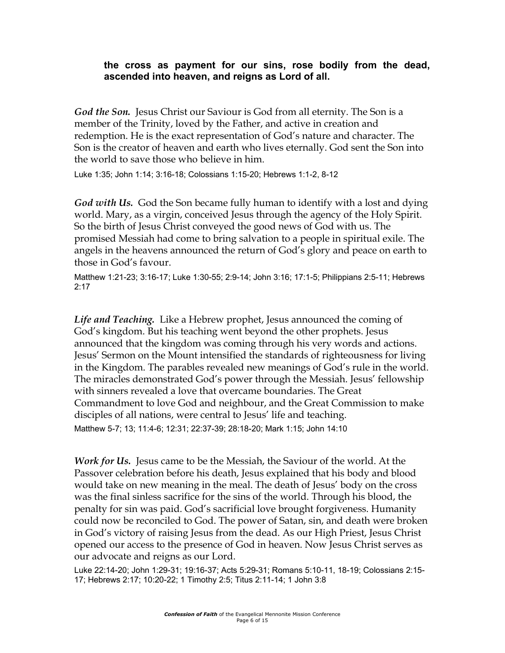#### **the cross as payment for our sins, rose bodily from the dead, ascended into heaven, and reigns as Lord of all.**

*God the Son.* Jesus Christ our Saviour is God from all eternity. The Son is a member of the Trinity, loved by the Father, and active in creation and redemption. He is the exact representation of God's nature and character. The Son is the creator of heaven and earth who lives eternally. God sent the Son into the world to save those who believe in him.

Luke 1:35; John 1:14; 3:16-18; Colossians 1:15-20; Hebrews 1:1-2, 8-12

*God with Us.* God the Son became fully human to identify with a lost and dying world. Mary, as a virgin, conceived Jesus through the agency of the Holy Spirit. So the birth of Jesus Christ conveyed the good news of God with us. The promised Messiah had come to bring salvation to a people in spiritual exile. The angels in the heavens announced the return of God's glory and peace on earth to those in God's favour.

Matthew 1:21-23; 3:16-17; Luke 1:30-55; 2:9-14; John 3:16; 17:1-5; Philippians 2:5-11; Hebrews 2:17

*Life and Teaching.* Like a Hebrew prophet, Jesus announced the coming of God's kingdom. But his teaching went beyond the other prophets. Jesus announced that the kingdom was coming through his very words and actions. Jesus' Sermon on the Mount intensified the standards of righteousness for living in the Kingdom. The parables revealed new meanings of God's rule in the world. The miracles demonstrated God's power through the Messiah. Jesus' fellowship with sinners revealed a love that overcame boundaries. The Great Commandment to love God and neighbour, and the Great Commission to make disciples of all nations, were central to Jesus' life and teaching. Matthew 5-7; 13; 11:4-6; 12:31; 22:37-39; 28:18-20; Mark 1:15; John 14:10

*Work for Us.* Jesus came to be the Messiah, the Saviour of the world. At the Passover celebration before his death, Jesus explained that his body and blood would take on new meaning in the meal. The death of Jesus' body on the cross was the final sinless sacrifice for the sins of the world. Through his blood, the penalty for sin was paid. God's sacrificial love brought forgiveness. Humanity could now be reconciled to God. The power of Satan, sin, and death were broken in God's victory of raising Jesus from the dead. As our High Priest, Jesus Christ opened our access to the presence of God in heaven. Now Jesus Christ serves as our advocate and reigns as our Lord.

Luke 22:14-20; John 1:29-31; 19:16-37; Acts 5:29-31; Romans 5:10-11, 18-19; Colossians 2:15- 17; Hebrews 2:17; 10:20-22; 1 Timothy 2:5; Titus 2:11-14; 1 John 3:8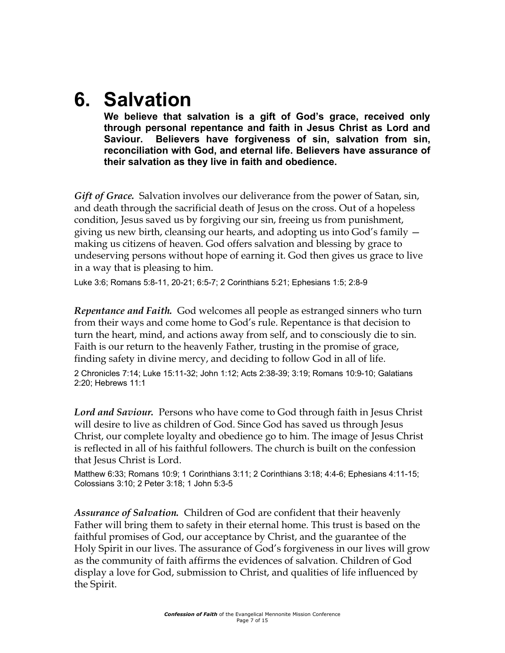### **6. Salvation**

**We believe that salvation is a gift of God's grace, received only through personal repentance and faith in Jesus Christ as Lord and Saviour. Believers have forgiveness of sin, salvation from sin, reconciliation with God, and eternal life. Believers have assurance of their salvation as they live in faith and obedience.** 

*Gift of Grace.* Salvation involves our deliverance from the power of Satan, sin, and death through the sacrificial death of Jesus on the cross. Out of a hopeless condition, Jesus saved us by forgiving our sin, freeing us from punishment, giving us new birth, cleansing our hearts, and adopting us into God's family making us citizens of heaven. God offers salvation and blessing by grace to undeserving persons without hope of earning it. God then gives us grace to live in a way that is pleasing to him.

Luke 3:6; Romans 5:8-11, 20-21; 6:5-7; 2 Corinthians 5:21; Ephesians 1:5; 2:8-9

*Repentance and Faith.* God welcomes all people as estranged sinners who turn from their ways and come home to God's rule. Repentance is that decision to turn the heart, mind, and actions away from self, and to consciously die to sin. Faith is our return to the heavenly Father, trusting in the promise of grace, finding safety in divine mercy, and deciding to follow God in all of life.

2 Chronicles 7:14; Luke 15:11-32; John 1:12; Acts 2:38-39; 3:19; Romans 10:9-10; Galatians 2:20; Hebrews 11:1

*Lord and Saviour.* Persons who have come to God through faith in Jesus Christ will desire to live as children of God. Since God has saved us through Jesus Christ, our complete loyalty and obedience go to him. The image of Jesus Christ is reflected in all of his faithful followers. The church is built on the confession that Jesus Christ is Lord.

Matthew 6:33; Romans 10:9; 1 Corinthians 3:11; 2 Corinthians 3:18; 4:4-6; Ephesians 4:11-15; Colossians 3:10; 2 Peter 3:18; 1 John 5:3-5

*Assurance of Salvation.* Children of God are confident that their heavenly Father will bring them to safety in their eternal home. This trust is based on the faithful promises of God, our acceptance by Christ, and the guarantee of the Holy Spirit in our lives. The assurance of God's forgiveness in our lives will grow as the community of faith affirms the evidences of salvation. Children of God display a love for God, submission to Christ, and qualities of life influenced by the Spirit.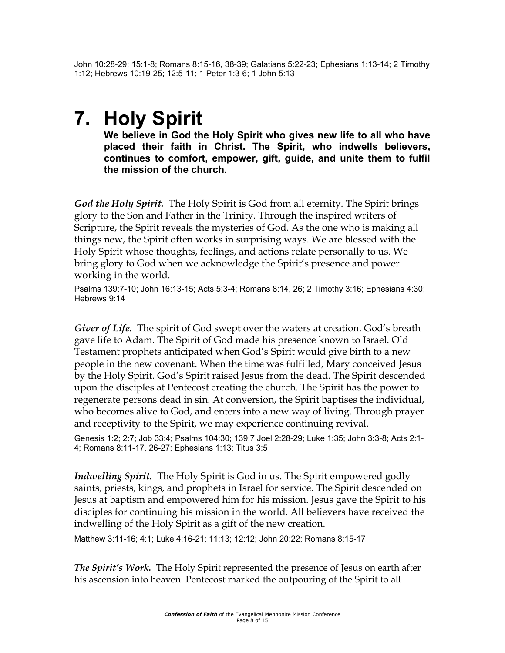John 10:28-29; 15:1-8; Romans 8:15-16, 38-39; Galatians 5:22-23; Ephesians 1:13-14; 2 Timothy 1:12; Hebrews 10:19-25; 12:5-11; 1 Peter 1:3-6; 1 John 5:13

#### **7. Holy Spirit**

**We believe in God the Holy Spirit who gives new life to all who have placed their faith in Christ. The Spirit, who indwells believers, continues to comfort, empower, gift, guide, and unite them to fulfil the mission of the church.**

*God the Holy Spirit.* The Holy Spirit is God from all eternity. The Spirit brings glory to the Son and Father in the Trinity. Through the inspired writers of Scripture, the Spirit reveals the mysteries of God. As the one who is making all things new, the Spirit often works in surprising ways. We are blessed with the Holy Spirit whose thoughts, feelings, and actions relate personally to us. We bring glory to God when we acknowledge the Spirit's presence and power working in the world.

Psalms 139:7-10; John 16:13-15; Acts 5:3-4; Romans 8:14, 26; 2 Timothy 3:16; Ephesians 4:30; Hebrews 9:14

*Giver of Life.* The spirit of God swept over the waters at creation. God's breath gave life to Adam. The Spirit of God made his presence known to Israel. Old Testament prophets anticipated when God's Spirit would give birth to a new people in the new covenant. When the time was fulfilled, Mary conceived Jesus by the Holy Spirit. God's Spirit raised Jesus from the dead. The Spirit descended upon the disciples at Pentecost creating the church. The Spirit has the power to regenerate persons dead in sin. At conversion, the Spirit baptises the individual, who becomes alive to God, and enters into a new way of living. Through prayer and receptivity to the Spirit, we may experience continuing revival.

Genesis 1:2; 2:7; Job 33:4; Psalms 104:30; 139:7 Joel 2:28-29; Luke 1:35; John 3:3-8; Acts 2:1- 4; Romans 8:11-17, 26-27; Ephesians 1:13; Titus 3:5

*Indwelling Spirit.* The Holy Spirit is God in us. The Spirit empowered godly saints, priests, kings, and prophets in Israel for service. The Spirit descended on Jesus at baptism and empowered him for his mission. Jesus gave the Spirit to his disciples for continuing his mission in the world. All believers have received the indwelling of the Holy Spirit as a gift of the new creation.

Matthew 3:11-16; 4:1; Luke 4:16-21; 11:13; 12:12; John 20:22; Romans 8:15-17

*The Spirit's Work.* The Holy Spirit represented the presence of Jesus on earth after his ascension into heaven. Pentecost marked the outpouring of the Spirit to all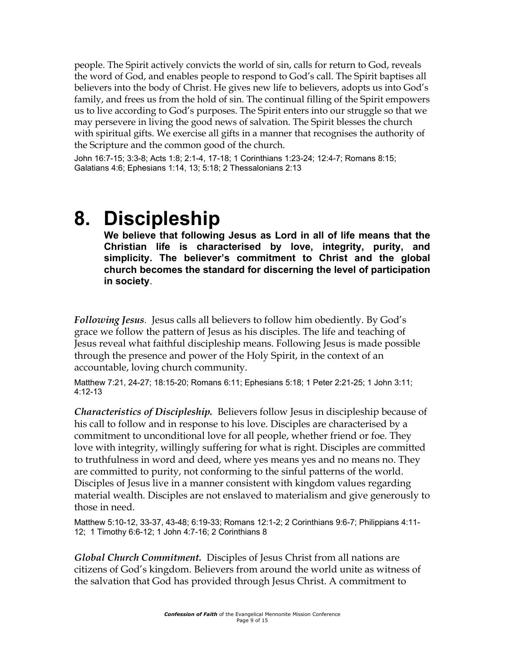people. The Spirit actively convicts the world of sin, calls for return to God, reveals the word of God, and enables people to respond to God's call. The Spirit baptises all believers into the body of Christ. He gives new life to believers, adopts us into God's family, and frees us from the hold of sin. The continual filling of the Spirit empowers us to live according to God's purposes. The Spirit enters into our struggle so that we may persevere in living the good news of salvation. The Spirit blesses the church with spiritual gifts. We exercise all gifts in a manner that recognises the authority of the Scripture and the common good of the church.

John 16:7-15; 3:3-8; Acts 1:8; 2:1-4, 17-18; 1 Corinthians 1:23-24; 12:4-7; Romans 8:15; Galatians 4:6; Ephesians 1:14, 13; 5:18; 2 Thessalonians 2:13

#### **8. Discipleship**

**We believe that following Jesus as Lord in all of life means that the Christian life is characterised by love, integrity, purity, and simplicity. The believer's commitment to Christ and the global church becomes the standard for discerning the level of participation in society**.

*Following Jesus.* Jesus calls all believers to follow him obediently. By God's grace we follow the pattern of Jesus as his disciples. The life and teaching of Jesus reveal what faithful discipleship means. Following Jesus is made possible through the presence and power of the Holy Spirit, in the context of an accountable, loving church community.

Matthew 7:21, 24-27; 18:15-20; Romans 6:11; Ephesians 5:18; 1 Peter 2:21-25; 1 John 3:11; 4:12-13

*Characteristics of Discipleship.* Believers follow Jesus in discipleship because of his call to follow and in response to his love. Disciples are characterised by a commitment to unconditional love for all people, whether friend or foe. They love with integrity, willingly suffering for what is right. Disciples are committed to truthfulness in word and deed, where yes means yes and no means no. They are committed to purity, not conforming to the sinful patterns of the world. Disciples of Jesus live in a manner consistent with kingdom values regarding material wealth. Disciples are not enslaved to materialism and give generously to those in need.

Matthew 5:10-12, 33-37, 43-48; 6:19-33; Romans 12:1-2; 2 Corinthians 9:6-7; Philippians 4:11- 12; 1 Timothy 6:6-12; 1 John 4:7-16; 2 Corinthians 8

*Global Church Commitment.* Disciples of Jesus Christ from all nations are citizens of God's kingdom. Believers from around the world unite as witness of the salvation that God has provided through Jesus Christ. A commitment to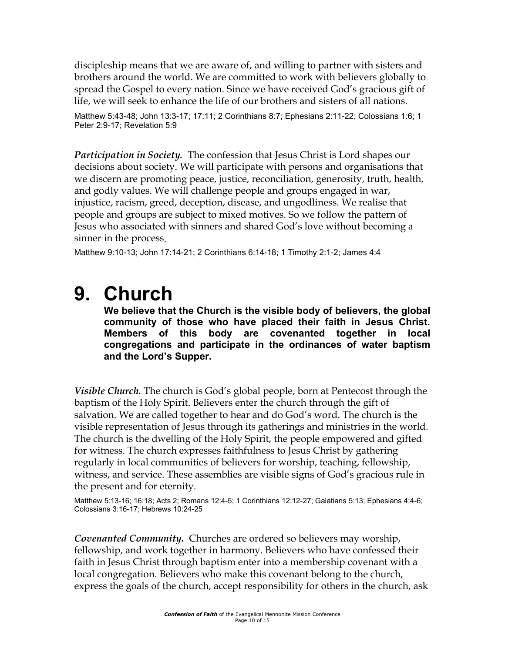discipleship means that we are aware of, and willing to partner with sisters and brothers around the world. We are committed to work with believers globally to spread the Gospel to every nation. Since we have received God's gracious gift of life, we will seek to enhance the life of our brothers and sisters of all nations.

Matthew 5:43-48; John 13:3-17; 17:11; 2 Corinthians 8:7; Ephesians 2:11-22; Colossians 1:6; 1 Peter 2:9-17; Revelation 5:9

*Participation in Society.* The confession that Jesus Christ is Lord shapes our decisions about society. We will participate with persons and organisations that we discern are promoting peace, justice, reconciliation, generosity, truth, health, and godly values. We will challenge people and groups engaged in war, injustice, racism, greed, deception, disease, and ungodliness. We realise that people and groups are subject to mixed motives. So we follow the pattern of Jesus who associated with sinners and shared God's love without becoming a sinner in the process.

Matthew 9:10-13; John 17:14-21; 2 Corinthians 6:14-18; 1 Timothy 2:1-2; James 4:4

### **9. Church**

**We believe that the Church is the visible body of believers, the global community of those who have placed their faith in Jesus Christ. Members of this body are covenanted together in local congregations and participate in the ordinances of water baptism and the Lord's Supper.** 

*Visible Church.* The church is God's global people, born at Pentecost through the baptism of the Holy Spirit. Believers enter the church through the gift of salvation. We are called together to hear and do God's word. The church is the visible representation of Jesus through its gatherings and ministries in the world. The church is the dwelling of the Holy Spirit, the people empowered and gifted for witness. The church expresses faithfulness to Jesus Christ by gathering regularly in local communities of believers for worship, teaching, fellowship, witness, and service. These assemblies are visible signs of God's gracious rule in the present and for eternity.

Matthew 5:13-16; 16:18; Acts 2; Romans 12:4-5; 1 Corinthians 12:12-27; Galatians 5:13; Ephesians 4:4-6; Colossians 3:16-17; Hebrews 10:24-25

*Covenanted Community.* Churches are ordered so believers may worship, fellowship, and work together in harmony. Believers who have confessed their faith in Jesus Christ through baptism enter into a membership covenant with a local congregation. Believers who make this covenant belong to the church, express the goals of the church, accept responsibility for others in the church, ask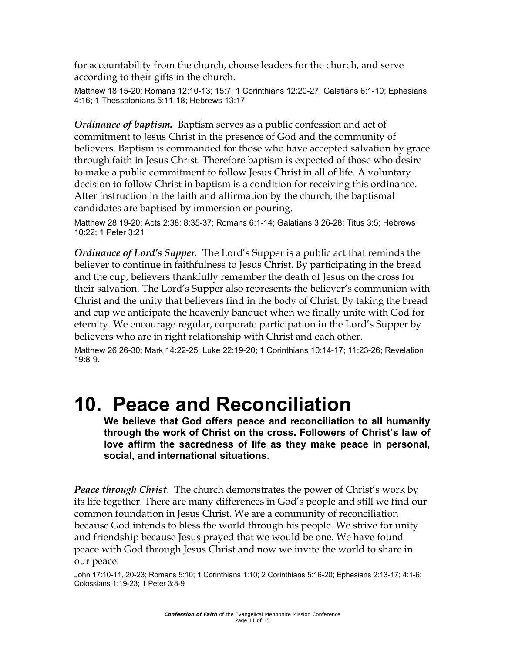for accountability from the church, choose leaders for the church, and serve according to their gifts in the church.

Matthew 18:15-20; Romans 12:10-13; 15:7; 1 Corinthians 12:20-27; Galatians 6:1-10; Ephesians 4:16; 1 Thessalonians 5:11-18; Hebrews 13:17

*Ordinance of baptism.* Baptism serves as a public confession and act of commitment to Jesus Christ in the presence of God and the community of believers. Baptism is commanded for those who have accepted salvation by grace through faith in Jesus Christ. Therefore baptism is expected of those who desire to make a public commitment to follow Jesus Christ in all of life. A voluntary decision to follow Christ in baptism is a condition for receiving this ordinance. After instruction in the faith and affirmation by the church, the baptismal candidates are baptised by immersion or pouring.

Matthew 28:19-20; Acts 2:38; 8:35-37; Romans 6:1-14; Galatians 3:26-28; Titus 3:5; Hebrews 10:22; 1 Peter 3:21

*Ordinance of Lord's Supper.* The Lord's Supper is a public act that reminds the believer to continue in faithfulness to Jesus Christ. By participating in the bread and the cup, believers thankfully remember the death of Jesus on the cross for their salvation. The Lord's Supper also represents the believer's communion with Christ and the unity that believers find in the body of Christ. By taking the bread and cup we anticipate the heavenly banquet when we finally unite with God for eternity. We encourage regular, corporate participation in the Lord's Supper by believers who are in right relationship with Christ and each other.

Matthew 26:26-30; Mark 14:22-25; Luke 22:19-20; 1 Corinthians 10:14-17; 11:23-26; Revelation 19:8-9.

#### **10. Peace and Reconciliation**

**We believe that God offers peace and reconciliation to all humanity through the work of Christ on the cross. Followers of Christ's law of love affirm the sacredness of life as they make peace in personal, social, and international situations**.

*Peace through Christ.* The church demonstrates the power of Christ's work by its life together. There are many differences in God's people and still we find our common foundation in Jesus Christ. We are a community of reconciliation because God intends to bless the world through his people. We strive for unity and friendship because Jesus prayed that we would be one. We have found peace with God through Jesus Christ and now we invite the world to share in our peace.

John 17:10-11, 20-23; Romans 5:10; 1 Corinthians 1:10; 2 Corinthians 5:16-20; Ephesians 2:13-17; 4:1-6; Colossians 1:19-23; 1 Peter 3:8-9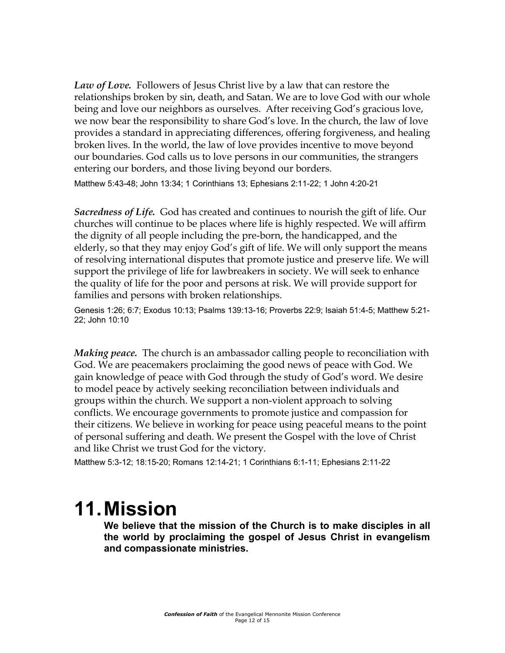*Law of Love.* Followers of Jesus Christ live by a law that can restore the relationships broken by sin, death, and Satan. We are to love God with our whole being and love our neighbors as ourselves. After receiving God's gracious love, we now bear the responsibility to share God's love. In the church, the law of love provides a standard in appreciating differences, offering forgiveness, and healing broken lives. In the world, the law of love provides incentive to move beyond our boundaries. God calls us to love persons in our communities, the strangers entering our borders, and those living beyond our borders.

Matthew 5:43-48; John 13:34; 1 Corinthians 13; Ephesians 2:11-22; 1 John 4:20-21

*Sacredness of Life.* God has created and continues to nourish the gift of life. Our churches will continue to be places where life is highly respected. We will affirm the dignity of all people including the pre-born, the handicapped, and the elderly, so that they may enjoy God's gift of life. We will only support the means of resolving international disputes that promote justice and preserve life. We will support the privilege of life for lawbreakers in society. We will seek to enhance the quality of life for the poor and persons at risk. We will provide support for families and persons with broken relationships.

Genesis 1:26; 6:7; Exodus 10:13; Psalms 139:13-16; Proverbs 22:9; Isaiah 51:4-5; Matthew 5:21- 22; John 10:10

*Making peace.* The church is an ambassador calling people to reconciliation with God. We are peacemakers proclaiming the good news of peace with God. We gain knowledge of peace with God through the study of God's word. We desire to model peace by actively seeking reconciliation between individuals and groups within the church. We support a non-violent approach to solving conflicts. We encourage governments to promote justice and compassion for their citizens. We believe in working for peace using peaceful means to the point of personal suffering and death. We present the Gospel with the love of Christ and like Christ we trust God for the victory.

Matthew 5:3-12; 18:15-20; Romans 12:14-21; 1 Corinthians 6:1-11; Ephesians 2:11-22

#### **11.Mission**

**We believe that the mission of the Church is to make disciples in all the world by proclaiming the gospel of Jesus Christ in evangelism and compassionate ministries.**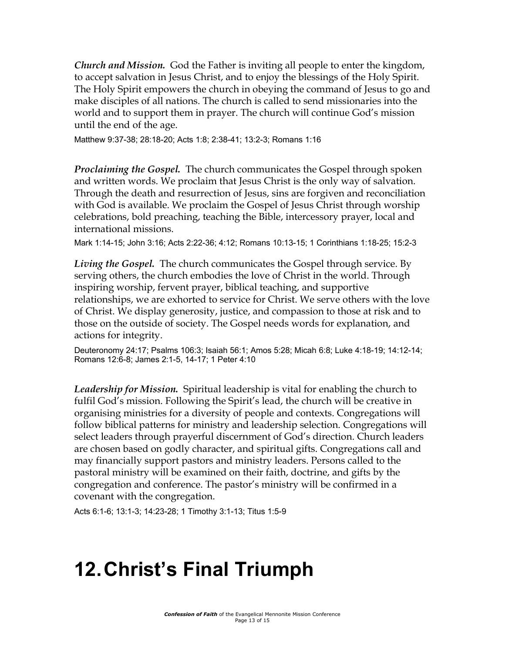*Church and Mission.* God the Father is inviting all people to enter the kingdom, to accept salvation in Jesus Christ, and to enjoy the blessings of the Holy Spirit. The Holy Spirit empowers the church in obeying the command of Jesus to go and make disciples of all nations. The church is called to send missionaries into the world and to support them in prayer. The church will continue God's mission until the end of the age.

Matthew 9:37-38; 28:18-20; Acts 1:8; 2:38-41; 13:2-3; Romans 1:16

*Proclaiming the Gospel.* The church communicates the Gospel through spoken and written words. We proclaim that Jesus Christ is the only way of salvation. Through the death and resurrection of Jesus, sins are forgiven and reconciliation with God is available. We proclaim the Gospel of Jesus Christ through worship celebrations, bold preaching, teaching the Bible, intercessory prayer, local and international missions.

Mark 1:14-15; John 3:16; Acts 2:22-36; 4:12; Romans 10:13-15; 1 Corinthians 1:18-25; 15:2-3

*Living the Gospel.* The church communicates the Gospel through service. By serving others, the church embodies the love of Christ in the world. Through inspiring worship, fervent prayer, biblical teaching, and supportive relationships, we are exhorted to service for Christ. We serve others with the love of Christ. We display generosity, justice, and compassion to those at risk and to those on the outside of society. The Gospel needs words for explanation, and actions for integrity.

Deuteronomy 24:17; Psalms 106:3; Isaiah 56:1; Amos 5:28; Micah 6:8; Luke 4:18-19; 14:12-14; Romans 12:6-8; James 2:1-5, 14-17; 1 Peter 4:10

*Leadership for Mission.* Spiritual leadership is vital for enabling the church to fulfil God's mission. Following the Spirit's lead, the church will be creative in organising ministries for a diversity of people and contexts. Congregations will follow biblical patterns for ministry and leadership selection. Congregations will select leaders through prayerful discernment of God's direction. Church leaders are chosen based on godly character, and spiritual gifts. Congregations call and may financially support pastors and ministry leaders. Persons called to the pastoral ministry will be examined on their faith, doctrine, and gifts by the congregation and conference. The pastor's ministry will be confirmed in a covenant with the congregation.

Acts 6:1-6; 13:1-3; 14:23-28; 1 Timothy 3:1-13; Titus 1:5-9

### **12.Christ's Final Triumph**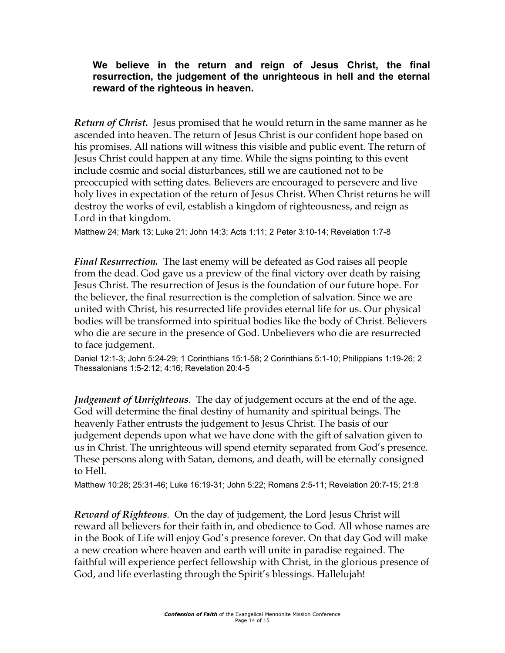#### **We believe in the return and reign of Jesus Christ, the final resurrection, the judgement of the unrighteous in hell and the eternal reward of the righteous in heaven.**

*Return of Christ.* Jesus promised that he would return in the same manner as he ascended into heaven. The return of Jesus Christ is our confident hope based on his promises. All nations will witness this visible and public event. The return of Jesus Christ could happen at any time. While the signs pointing to this event include cosmic and social disturbances, still we are cautioned not to be preoccupied with setting dates. Believers are encouraged to persevere and live holy lives in expectation of the return of Jesus Christ. When Christ returns he will destroy the works of evil, establish a kingdom of righteousness, and reign as Lord in that kingdom.

Matthew 24; Mark 13; Luke 21; John 14:3; Acts 1:11; 2 Peter 3:10-14; Revelation 1:7-8

*Final Resurrection.* The last enemy will be defeated as God raises all people from the dead. God gave us a preview of the final victory over death by raising Jesus Christ. The resurrection of Jesus is the foundation of our future hope. For the believer, the final resurrection is the completion of salvation. Since we are united with Christ, his resurrected life provides eternal life for us. Our physical bodies will be transformed into spiritual bodies like the body of Christ. Believers who die are secure in the presence of God. Unbelievers who die are resurrected to face judgement.

Daniel 12:1-3; John 5:24-29; 1 Corinthians 15:1-58; 2 Corinthians 5:1-10; Philippians 1:19-26; 2 Thessalonians 1:5-2:12; 4:16; Revelation 20:4-5

*Judgement of Unrighteous.* The day of judgement occurs at the end of the age. God will determine the final destiny of humanity and spiritual beings. The heavenly Father entrusts the judgement to Jesus Christ. The basis of our judgement depends upon what we have done with the gift of salvation given to us in Christ. The unrighteous will spend eternity separated from God's presence. These persons along with Satan, demons, and death, will be eternally consigned to Hell.

Matthew 10:28; 25:31-46; Luke 16:19-31; John 5:22; Romans 2:5-11; Revelation 20:7-15; 21:8

*Reward of Righteous.* On the day of judgement, the Lord Jesus Christ will reward all believers for their faith in, and obedience to God. All whose names are in the Book of Life will enjoy God's presence forever. On that day God will make a new creation where heaven and earth will unite in paradise regained. The faithful will experience perfect fellowship with Christ, in the glorious presence of God, and life everlasting through the Spirit's blessings. Hallelujah!